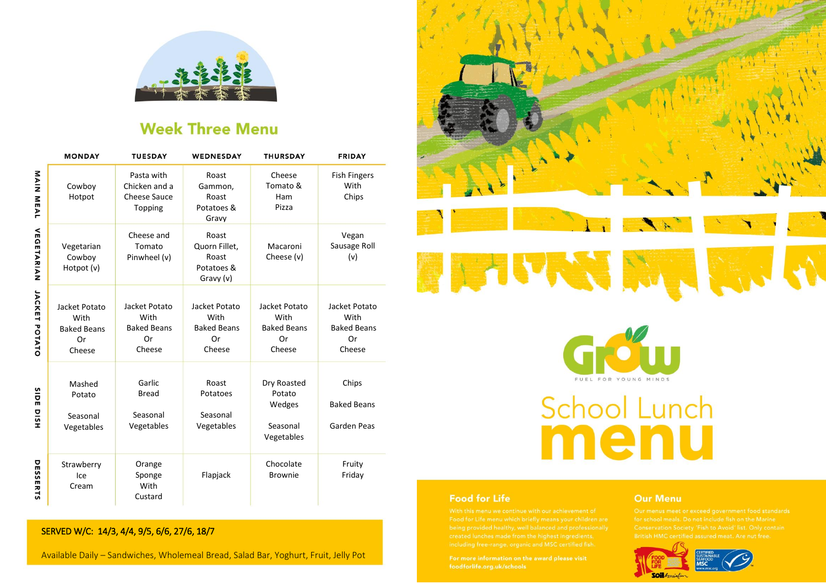

## **Week Three Menu**

|                            | <b>MONDAY</b>                                               | <b>TUESDAY</b>                                                | WEDNESDAY                                                   | <b>THURSDAY</b>                                             | <b>FRIDAY</b>                                               |
|----------------------------|-------------------------------------------------------------|---------------------------------------------------------------|-------------------------------------------------------------|-------------------------------------------------------------|-------------------------------------------------------------|
| NAIN<br>MEAL               | Cowboy<br>Hotpot                                            | Pasta with<br>Chicken and a<br><b>Cheese Sauce</b><br>Topping | Roast<br>Gammon,<br>Roast<br>Potatoes &<br>Gravv            | Cheese<br>Tomato &<br>Ham<br>Pizza                          | <b>Fish Fingers</b><br>With<br>Chips                        |
| <b>VEGETARIAN</b>          | Vegetarian<br>Cowboy<br>Hotpot (v)                          | Cheese and<br>Tomato<br>Pinwheel (v)                          | Roast<br>Quorn Fillet,<br>Roast<br>Potatoes &<br>Gravy (v)  | Macaroni<br>Cheese (v)                                      | Vegan<br>Sausage Roll<br>(v)                                |
| JACKET<br>POTATO           | Jacket Potato<br>With<br><b>Baked Beans</b><br>Or<br>Cheese | Jacket Potato<br>With<br><b>Baked Beans</b><br>Or<br>Cheese   | Jacket Potato<br>With<br><b>Baked Beans</b><br>Or<br>Cheese | Jacket Potato<br>With<br><b>Baked Beans</b><br>Or<br>Cheese | Jacket Potato<br>With<br><b>Baked Beans</b><br>Or<br>Cheese |
| <b>SIDE</b><br><b>DISH</b> | Mashed<br>Potato<br>Seasonal<br>Vegetables                  | Garlic<br><b>Bread</b><br>Seasonal<br>Vegetables              | Roast<br>Potatoes<br>Seasonal<br>Vegetables                 | Dry Roasted<br>Potato<br>Wedges<br>Seasonal<br>Vegetables   | Chips<br><b>Baked Beans</b><br><b>Garden Peas</b>           |
| 유<br><b>SSERTS</b>         | Strawberry<br>Ice<br>Cream                                  | Orange<br>Sponge<br>With<br>Custard                           | Flapjack                                                    | Chocolate<br><b>Brownie</b>                                 | Fruity<br>Friday                                            |



Available Daily - Sandwiches, Wholemeal Bread, Salad Bar, Yoghurt, Fruit, Jelly Pot





# School Lunch menu

### **Food for Life**

#### **Our Menu**